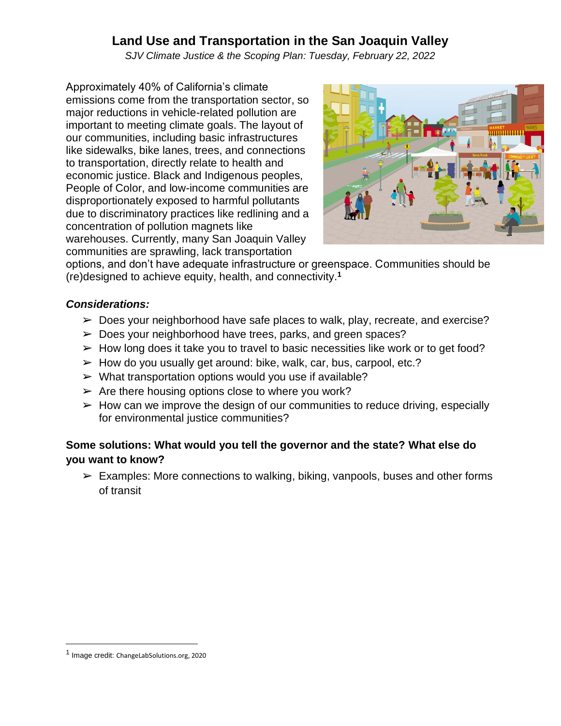## **Land Use and Transportation in the San Joaquin Valley**

*SJV Climate Justice & the Scoping Plan: Tuesday, February 22, 2022*

Approximately 40% of California's climate emissions come from the transportation sector, so major reductions in vehicle-related pollution are important to meeting climate goals. The layout of our communities, including basic infrastructures like sidewalks, bike lanes, trees, and connections to transportation, directly relate to health and economic justice. Black and Indigenous peoples, People of Color, and low-income communities are disproportionately exposed to harmful pollutants due to discriminatory practices like redlining and a concentration of pollution magnets like warehouses. Currently, many San Joaquin Valley communities are sprawling, lack transportation



options, and don't have adequate infrastructure or greenspace. Communities should be (re)designed to achieve equity, health, and connectivity.**<sup>1</sup>**

#### *Considerations:*

- ➢ Does your neighborhood have safe places to walk, play, recreate, and exercise?
- ➢ Does your neighborhood have trees, parks, and green spaces?
- $\triangleright$  How long does it take you to travel to basic necessities like work or to get food?
- $\blacktriangleright$  How do you usually get around: bike, walk, car, bus, carpool, etc.?
- $\triangleright$  What transportation options would you use if available?
- $\triangleright$  Are there housing options close to where you work?
- $\triangleright$  How can we improve the design of our communities to reduce driving, especially for environmental justice communities?

## **Some solutions: What would you tell the governor and the state? What else do you want to know?**

 $\triangleright$  Examples: More connections to walking, biking, vanpools, buses and other forms of transit

<sup>&</sup>lt;sup>1</sup> Image credit: ChangeLabSolutions.org, 2020